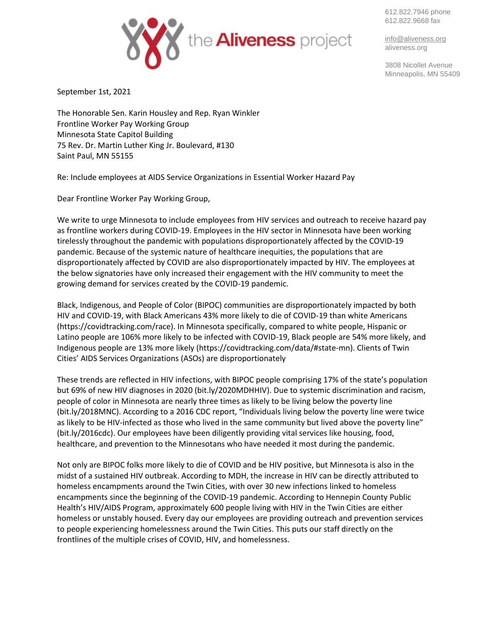612.822.7946 phone 612.822.9668 fax



[info@aliveness.org](mailto:info@aliveness.org) aliveness.org

3808 Nicollet Avenue Minneapolis, MN 55409

September 1st, 2021

The Honorable Sen. Karin Housley and Rep. Ryan Winkler Frontline Worker Pay Working Group Minnesota State Capitol Building 75 Rev. Dr. Martin Luther King Jr. Boulevard, #130 Saint Paul, MN 55155

Re: Include employees at AIDS Service Organizations in Essential Worker Hazard Pay

Dear Frontline Worker Pay Working Group,

We write to urge Minnesota to include employees from HIV services and outreach to receive hazard pay as frontline workers during COVID-19. Employees in the HIV sector in Minnesota have been working tirelessly throughout the pandemic with populations disproportionately affected by the COVID-19 pandemic. Because of the systemic nature of healthcare inequities, the populations that are disproportionately affected by COVID are also disproportionately impacted by HIV. The employees at the below signatories have only increased their engagement with the HIV community to meet the growing demand for services created by the COVID-19 pandemic.

Black, Indigenous, and People of Color (BIPOC) communities are disproportionately impacted by both HIV and COVID-19, with Black Americans 43% more likely to die of COVID-19 than white Americans (https://covidtracking.com/race). In Minnesota specifically, compared to white people, Hispanic or Latino people are 106% more likely to be infected with COVID-19, Black people are 54% more likely, and Indigenous people are 13% more likely (https://covidtracking.com/data/#state-mn). Clients of Twin Cities' AIDS Services Organizations (ASOs) are disproportionately

These trends are reflected in HIV infections, with BIPOC people comprising 17% of the state's population but 69% of new HIV diagnoses in 2020 (bit.ly/2020MDHHIV). Due to systemic discrimination and racism, people of color in Minnesota are nearly three times as likely to be living below the poverty line (bit.ly/2018MNC). According to a 2016 CDC report, "Individuals living below the poverty line were twice as likely to be HIV-infected as those who lived in the same community but lived above the poverty line" (bit.ly/2016cdc). Our employees have been diligently providing vital services like housing, food, healthcare, and prevention to the Minnesotans who have needed it most during the pandemic.

Not only are BIPOC folks more likely to die of COVID and be HIV positive, but Minnesota is also in the midst of a sustained HIV outbreak. According to MDH, the increase in HIV can be directly attributed to homeless encampments around the Twin Cities, with over 30 new infections linked to homeless encampments since the beginning of the COVID-19 pandemic. According to Hennepin County Public Health's HIV/AIDS Program, approximately 600 people living with HIV in the Twin Cities are either homeless or unstably housed. Every day our employees are providing outreach and prevention services to people experiencing homelessness around the Twin Cities. This puts our staff directly on the frontlines of the multiple crises of COVID, HIV, and homelessness.